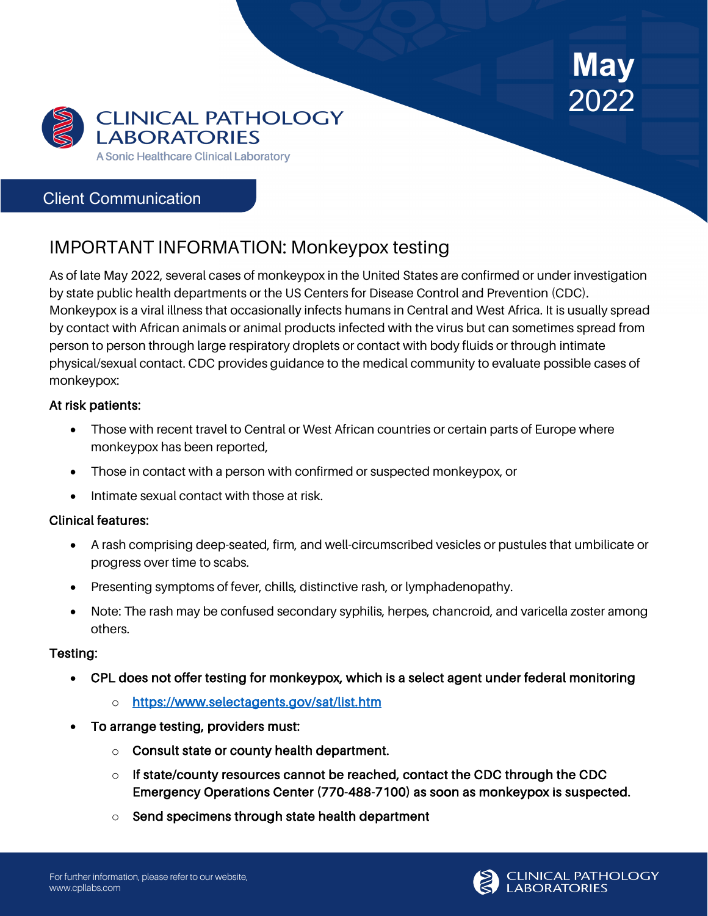



## Client Communication

# IMPORTANT INFORMATION: Monkeypox testing

As of late May 2022, several cases of monkeypox in the United States are confirmed or under investigation by state public health departments or the US Centers for Disease Control and Prevention (CDC). Monkeypox is a viral illness that occasionally infects humans in Central and West Africa. It is usually spread by contact with African animals or animal products infected with the virus but can sometimes spread from person to person through large respiratory droplets or contact with body fluids or through intimate physical/sexual contact. CDC provides guidance to the medical community to evaluate possible cases of monkeypox:

### At risk patients:

- Those with recent travel to Central or West African countries or certain parts of Europe where monkeypox has been reported,
- Those in contact with a person with confirmed or suspected monkeypox, or
- Intimate sexual contact with those at risk.

### Clinical features:

- A rash comprising deep-seated, firm, and well-circumscribed vesicles or pustules that umbilicate or progress over time to scabs.
- Presenting symptoms of fever, chills, distinctive rash, or lymphadenopathy.
- Note: The rash may be confused secondary syphilis, herpes, chancroid, and varicella zoster among others.

#### Testing:

- CPL does not offer testing for monkeypox, which is a select agent under federal monitoring
	- o <https://www.selectagents.gov/sat/list.htm>
- To arrange testing, providers must:
	- o Consult state or county health department.
	- $\circ$  If state/county resources cannot be reached, contact the CDC through the CDC Emergency Operations Center (770-488-7100) as soon as monkeypox is suspected.
	- o Send specimens through state health department